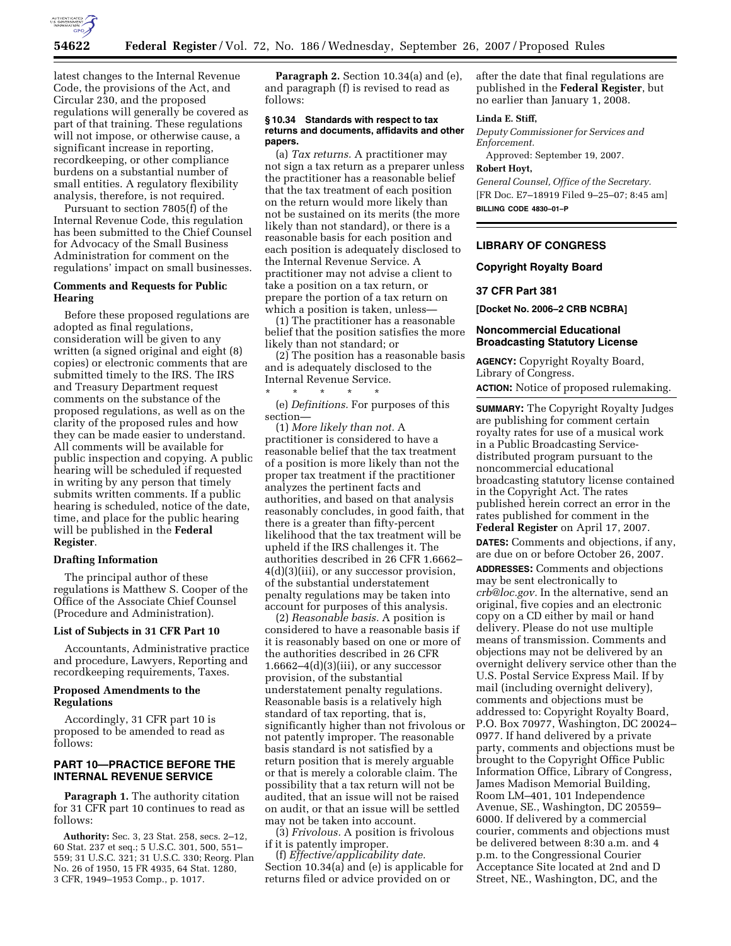

latest changes to the Internal Revenue Code, the provisions of the Act, and Circular 230, and the proposed regulations will generally be covered as part of that training. These regulations will not impose, or otherwise cause, a significant increase in reporting, recordkeeping, or other compliance burdens on a substantial number of small entities. A regulatory flexibility analysis, therefore, is not required.

Pursuant to section 7805(f) of the Internal Revenue Code, this regulation has been submitted to the Chief Counsel for Advocacy of the Small Business Administration for comment on the regulations' impact on small businesses.

## **Comments and Requests for Public Hearing**

Before these proposed regulations are adopted as final regulations, consideration will be given to any written (a signed original and eight (8) copies) or electronic comments that are submitted timely to the IRS. The IRS and Treasury Department request comments on the substance of the proposed regulations, as well as on the clarity of the proposed rules and how they can be made easier to understand. All comments will be available for public inspection and copying. A public hearing will be scheduled if requested in writing by any person that timely submits written comments. If a public hearing is scheduled, notice of the date, time, and place for the public hearing will be published in the **Federal Register**.

## **Drafting Information**

The principal author of these regulations is Matthew S. Cooper of the Office of the Associate Chief Counsel (Procedure and Administration).

#### **List of Subjects in 31 CFR Part 10**

Accountants, Administrative practice and procedure, Lawyers, Reporting and recordkeeping requirements, Taxes.

## **Proposed Amendments to the Regulations**

Accordingly, 31 CFR part 10 is proposed to be amended to read as follows:

## **PART 10—PRACTICE BEFORE THE INTERNAL REVENUE SERVICE**

**Paragraph 1.** The authority citation for 31 CFR part 10 continues to read as follows:

**Authority:** Sec. 3, 23 Stat. 258, secs. 2–12, 60 Stat. 237 et seq.; 5 U.S.C. 301, 500, 551– 559; 31 U.S.C. 321; 31 U.S.C. 330; Reorg. Plan No. 26 of 1950, 15 FR 4935, 64 Stat. 1280, 3 CFR, 1949–1953 Comp., p. 1017.

**Paragraph 2.** Section 10.34(a) and (e), and paragraph (f) is revised to read as follows:

#### **§ 10.34 Standards with respect to tax returns and documents, affidavits and other papers.**

(a) *Tax returns.* A practitioner may not sign a tax return as a preparer unless the practitioner has a reasonable belief that the tax treatment of each position on the return would more likely than not be sustained on its merits (the more likely than not standard), or there is a reasonable basis for each position and each position is adequately disclosed to the Internal Revenue Service. A practitioner may not advise a client to take a position on a tax return, or prepare the portion of a tax return on which a position is taken, unless-

(1) The practitioner has a reasonable belief that the position satisfies the more likely than not standard; or

(2) The position has a reasonable basis and is adequately disclosed to the Internal Revenue Service.

\* \* \* \* \*

(e) *Definitions.* For purposes of this section—

(1) *More likely than not.* A practitioner is considered to have a reasonable belief that the tax treatment of a position is more likely than not the proper tax treatment if the practitioner analyzes the pertinent facts and authorities, and based on that analysis reasonably concludes, in good faith, that there is a greater than fifty-percent likelihood that the tax treatment will be upheld if the IRS challenges it. The authorities described in 26 CFR 1.6662– 4(d)(3)(iii), or any successor provision, of the substantial understatement penalty regulations may be taken into account for purposes of this analysis.

(2) *Reasonable basis.* A position is considered to have a reasonable basis if it is reasonably based on one or more of the authorities described in 26 CFR  $1.6662 - 4(d)(3)(iii)$ , or any successor provision, of the substantial understatement penalty regulations. Reasonable basis is a relatively high standard of tax reporting, that is, significantly higher than not frivolous or not patently improper. The reasonable basis standard is not satisfied by a return position that is merely arguable or that is merely a colorable claim. The possibility that a tax return will not be audited, that an issue will not be raised on audit, or that an issue will be settled may not be taken into account.

(3) *Frivolous.* A position is frivolous if it is patently improper.

(f) *Effective/applicability date.*  Section 10.34(a) and (e) is applicable for returns filed or advice provided on or

after the date that final regulations are published in the **Federal Register**, but no earlier than January 1, 2008.

#### **Linda E. Stiff,**

*Deputy Commissioner for Services and Enforcement.* 

Approved: September 19, 2007.

# **Robert Hoyt,**

*General Counsel, Office of the Secretary.*  [FR Doc. E7–18919 Filed 9–25–07; 8:45 am] **BILLING CODE 4830–01–P** 

## **LIBRARY OF CONGRESS**

## **Copyright Royalty Board**

#### **37 CFR Part 381**

**[Docket No. 2006–2 CRB NCBRA]** 

## **Noncommercial Educational Broadcasting Statutory License**

**AGENCY:** Copyright Royalty Board, Library of Congress.

**ACTION:** Notice of proposed rulemaking.

**SUMMARY:** The Copyright Royalty Judges are publishing for comment certain royalty rates for use of a musical work in a Public Broadcasting Servicedistributed program pursuant to the noncommercial educational broadcasting statutory license contained in the Copyright Act. The rates published herein correct an error in the rates published for comment in the **Federal Register** on April 17, 2007.

**DATES:** Comments and objections, if any, are due on or before October 26, 2007.

**ADDRESSES:** Comments and objections may be sent electronically to *crb@loc.gov.* In the alternative, send an original, five copies and an electronic copy on a CD either by mail or hand delivery. Please do not use multiple means of transmission. Comments and objections may not be delivered by an overnight delivery service other than the U.S. Postal Service Express Mail. If by mail (including overnight delivery), comments and objections must be addressed to: Copyright Royalty Board, P.O. Box 70977, Washington, DC 20024– 0977. If hand delivered by a private party, comments and objections must be brought to the Copyright Office Public Information Office, Library of Congress, James Madison Memorial Building, Room LM–401, 101 Independence Avenue, SE., Washington, DC 20559– 6000. If delivered by a commercial courier, comments and objections must be delivered between 8:30 a.m. and 4 p.m. to the Congressional Courier Acceptance Site located at 2nd and D Street, NE., Washington, DC, and the